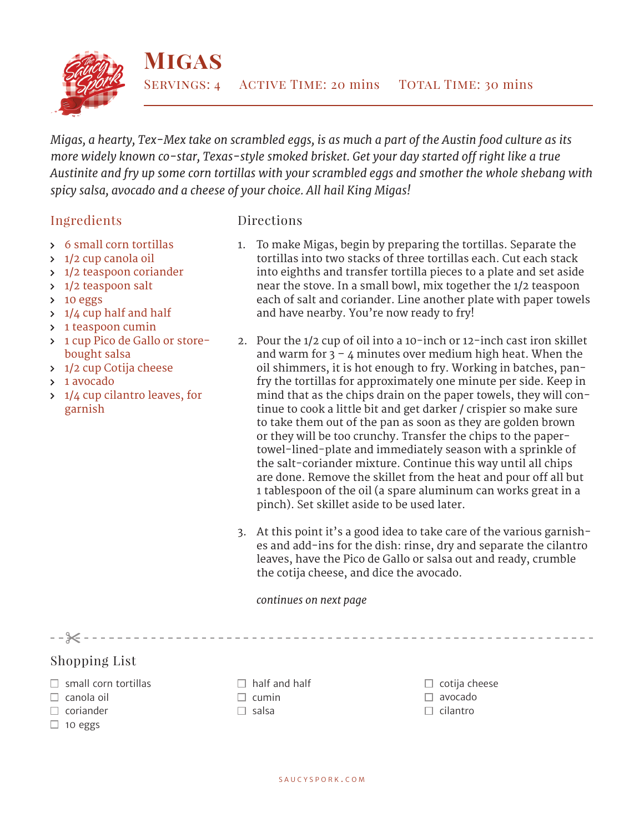

*Migas, a hearty, Tex-Mex take on scrambled eggs, is as much a part of the Austin food culture as its more widely known co-star, Texas-style smoked brisket. Get your day started off right like a true Austinite and fry up some corn tortillas with your scrambled eggs and smother the whole shebang with spicy salsa, avocado and a cheese of your choice. All hail King Migas!*

## Ingredients

## Directions

- 6 small corn tortillas
- > 1/2 cup canola oil
- > 1/2 teaspoon coriander
- > 1/2 teaspoon salt
- $\gt$  10 eggs
- $\frac{1}{4}$  cup half and half
- > 1 teaspoon cumin
- 1 cup Pico de Gallo or storebought salsa
- > 1/2 cup Cotija cheese
- 1 avocado
- 1/4 cup cilantro leaves, for garnish
- 1. To make Migas, begin by preparing the tortillas. Separate the tortillas into two stacks of three tortillas each. Cut each stack into eighths and transfer tortilla pieces to a plate and set aside near the stove. In a small bowl, mix together the 1/2 teaspoon each of salt and coriander. Line another plate with paper towels and have nearby. You're now ready to fry!
- 2. Pour the 1/2 cup of oil into a 10-inch or 12-inch cast iron skillet and warm for  $3 - 4$  minutes over medium high heat. When the oil shimmers, it is hot enough to fry. Working in batches, panfry the tortillas for approximately one minute per side. Keep in mind that as the chips drain on the paper towels, they will continue to cook a little bit and get darker / crispier so make sure to take them out of the pan as soon as they are golden brown or they will be too crunchy. Transfer the chips to the papertowel-lined-plate and immediately season with a sprinkle of the salt-coriander mixture. Continue this way until all chips are done. Remove the skillet from the heat and pour off all but 1 tablespoon of the oil (a spare aluminum can works great in a pinch). Set skillet aside to be used later.
- 3. At this point it's a good idea to take care of the various garnishes and add-ins for the dish: rinse, dry and separate the cilantro leaves, have the Pico de Gallo or salsa out and ready, crumble the cotija cheese, and dice the avocado.

--------------------

*continues on next page*

Shopping List

 $- - 32 - - - -$ 

- $\Box$  small corn tortillas
- $\Box$  canola oil
- $\Box$  coriander
- $\Box$  10 eggs
- $\Box$  half and half
- $\Box$  cumin
- $\square$  salsa

 $\Box$  cotija cheese avocado  $\Box$  cilantro